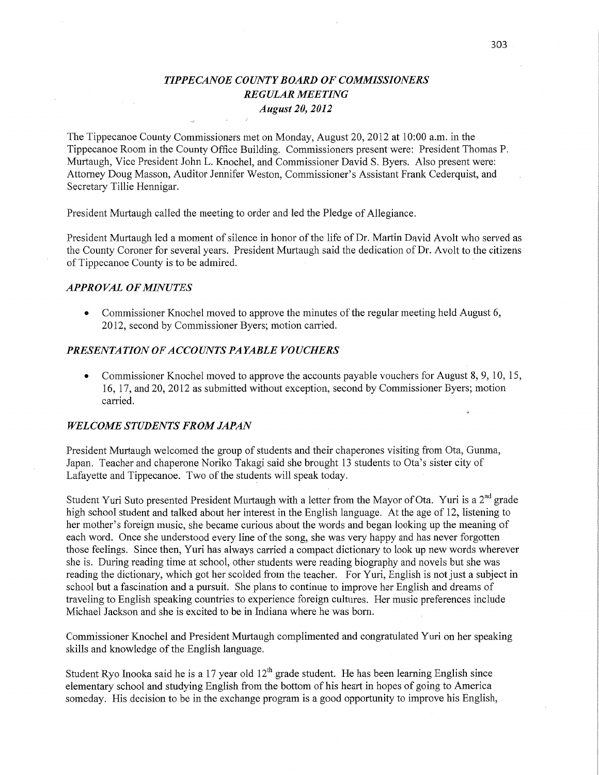# *T IPPE CANOE COUNT Y BOARD* OF *COMMISSIONERS REGULAR MEETING August* 20, *2012*

The Tippecanoe County Commissioners met on Monday, August 20, 2012 at **10:00** am. in the Tippecanoe Room in the County Office Building. Commissioners present'were: President Thomas P. Murtaugh, Vice President John L. Knochel, and Commissioner David S. Byers. Also present were: Attorney Doug Masson, Auditor Jennifer Weston, Commissioner's Assistant Frank Cederquist, and Secretary Tillie Hennigar.

President Murtaugh called the meeting to order and led the Pledge of Allegiance.

President Murtaugh led a moment of silence in honor of the life of Dr. Martin David Avolt who served as the County Coroner for several years. President Murtaugh said the dedication of Dr. Avolt to the citizens of Tippecanoe County is to be admired.

## *APPROVAL* OF *MINUTES*

*0* Commissioner Knochel moved to approve the minutes of the regular meeting held August 6, 2012, second by Commissioner Byers; motion carried.

# **PRESENTATION OF ACCOUNTS PAYABLE VOUCHERS**

• Commissioner Knochel moved to approve the accounts payable vouchers for August 8, 9, 10, 15, 16, 17, and 20, 2012 as submitted Without exception, second by Commissioner Byers; motion carried.

### *WELCOME STUDENTS FROM JAPAN*

President Murtaugh welcomed the group of students and their chaperones visiting from Ota, Gunma, Japan. Teacher and chaperone Noriko Takagi said she brought 13 students to Ota's sister city of Lafayette and Tippecanoe. Two of the students will speak today

Student Yuri Suto presented President Murtaugh with a letter from the Mayor of **Ota.** Yuri is a 2nd grade high school student and talked about her interest in the English language. At the age of 12, listening to her mother's foreign music, she became curious about the words and began looking up the meaning of each word. Once she understood every line of the song, she was very happy and has never forgotten. those feelings. Since then, Yuri has always carried a compact dictionary to look up new words wherever she is. During reading time at school, other students were reading biography and novels but she was reading the dictionary, which got her scolded from the teacher. For Yuri, English is not just a subject in school but a fascination and a pursuit. She plans to continue to improve her English and dreams of traveling to English speaking countries to experience foreign cultures. Her music preferences include Michael Jackson and she is excited to be in Indiana where he was born.

Commissioner Knochel and President Murtaugh complimented and congratulated Yuri on her speaking skills and knowledge of the English language.

Student Ryo Inooka said he is a 17 year old  $12<sup>th</sup>$  grade student. He has been learning English since elementary school and studying English from the bottom of his heart in hopes of going to America someday. His decision to be in the exchange program is a good opportunity to improve his English,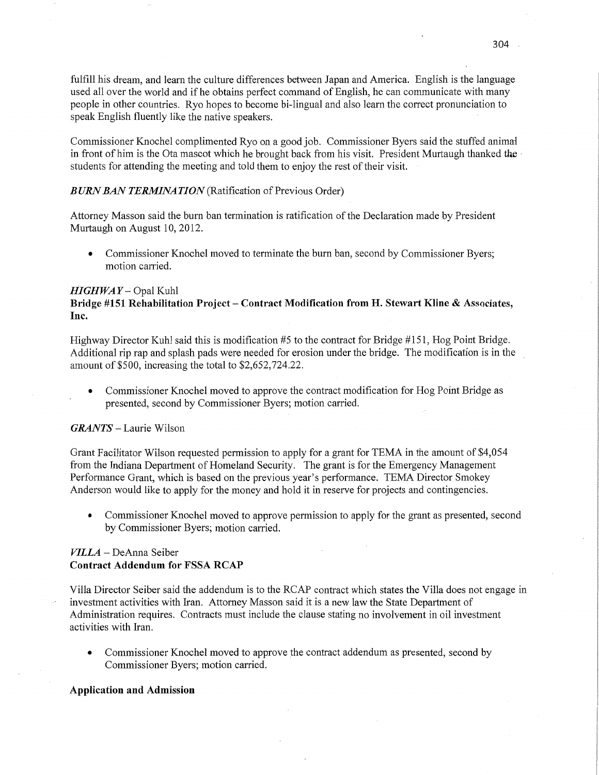fulfill his dream, and learn the culture differences between Japan and America. English is the language used all over the world and if he obtains perfect command of English, he can communicate with many people in other countries. Ryo hopes to become bi-lingual and also learn the correct pronunciation to speak English fluently like the native speakers.

Commissioner Knochel complimented Ryo on <sup>a</sup>good job. Commissioner Byers said the stuffed animal in front of him is the Ota mascot which he brought back from his visit. President Murtaugh thanked the students for attending the meeting and told them to enjoy the rest of their visit.

### *BURN* BAN *TERMINATION* (Ratification of Previous Order)

Attorney Masson said the burn ban termination is ratification of the Declaration made by President Murtaugh on August 10, 2012.

**0** Commissioner Knochel moved to terminate the burn ban, second by Commissioner Byers; motion carried.

### HIGHWAY -- Opal Kuhl

# Bridge **#151** Rehabilitation **Project — Contract Modification from** H. **Stewart** Kline **&** Associates, **Inc.**

Highway Director Kuhl said **this** is modification #5 to the contract for Bridge #151, Hog Point Bridge. Additional rip rap and splash pads were needed for erosion under the bridge. The modification is in the *.* amount of \$500, increasing the total to \$2,652,724.22.

**0** Commissioner Knochel moved to approve the contract modification for Hog Point Bridge as presented, second by Commissioner Byers; motion carried.

#### *GRANTS* – Laurie Wilson

Grant Facilitator Wilson requested permission to apply for **<sup>a</sup>**grant for TEMA in the amount of \$4,054 from the Indiana Department of Homeland Security. The grant is for the Emergency Management Performance Grant, which is based on the previous year's performance. TEMA Director Smokey Anderson would like to apply for the money and hold it in reserve for projects and contingencies.

**0** Commissioner Knochel moved to approve permission to apply for the grant as presented, second by Commissioner Byers; motion carried.

# *VILLA —* DeAnna Seiber **Contract Addendum** for **FSSA RCAP**

Villa Director Seiber said the addendum is to the RCAP contract which states the Villa does not engage in investment activities with Iran. Attorney Masson said it is a new law the State Department of Administration requires. Contracts must include the clause stating no involvement in oil investment activities with **Iran.** 

**0** Commissioner Knochel moved to approve the contract addendum as presented, second by Commissioner Byers; motion carried.

#### **Application** and Admission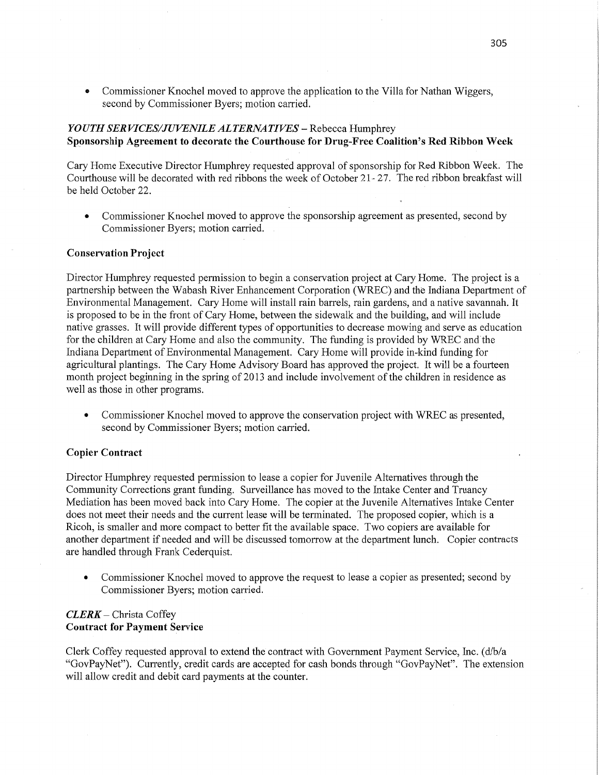*0* Commissioner Knochel moved to approve the application to the Villa for Nathan Wiggers, second by Commissioner Byers; motion carried.

# *YOUTH* SER *VICES/JUVENILE ALTERNATIVES* — Rebecca Humphrey Sponsorship Agreement to **decorate** the **Courthouse** for **Drug-Free Coalition's** Red **Ribbon** Week

Cary Home Executive Director Humphrey requestéd approval of sponsorship for Red Ribbon Week. The Courthouse will be decorated with red ribbons the week of October 21- 27. The red ribbon breakfast will be held October 22.

**0** Commissioner Knochel moved to approve the sponsorship agreement as presented, second by Commissioner Byers; motion carried.

## **Conservation Project**

Director Humphrey requested permission to begin a conservation project at Cary Home. The project is a partnership between the Wabash River Enhancement Corporation (WREC) and the Indiana Department of Environmental Management. Cary Home will install rain barrels, rain gardens, and **a** native savannah. It is proposed to be in the front of Cary Home, between the sidewalk and the building, and will include native grasses. It will provide different types of opportunities to decrease mowing and serve as education for the children at Cary Home and also the community. The funding is provided by WREC and'the Indiana Department of Environmental Management. Cary Home will provide in-kind funding for agricultural plantings. The Cary Home Advisory Board has approved the project. It will be a fourteen month project beginning in the spring of 2013 and include involvement of the children in residence as well as those in other programs.

**0** Commissioner Knochel moved to approve the conservation project with WREC as presented, second by Commissioner Byers; motion carried.

### **Copier Contract**

Director Humphrey requested permission to lease a copier for Juvenile Alternatives through the Community Corrections grant funding. Surveillance has moved to the Intake Center and Truancy Mediation has been moved back into Cary Home. The copier at the Juvenile Alternatives Intake Center does not meet **their** needs and the current lease will be terminated. The proposed copier, which is a Ricoh, is smaller and more compact to better fit the available space. Two copiers are available for another department if needed and will be discussed tomorrow at the department lunch. Copier contracts are handled through Frank Cederquist.

**0** Commissioner Knochel moved to approve the request to lease **a** copier as presented; second by Commissioner Byers; motion carried.

## *CLERK* **—** Christa Coffey **Contract** for Payment **Service**

Clerk Coffey requested approval to extend the contract with Government Payment Service, Inc. (d/b/a "GOVPayNet"). Currently, credit cards are accepted for cash bonds through "GovPayNet". The extension will allow credit and debit card payments at the counter.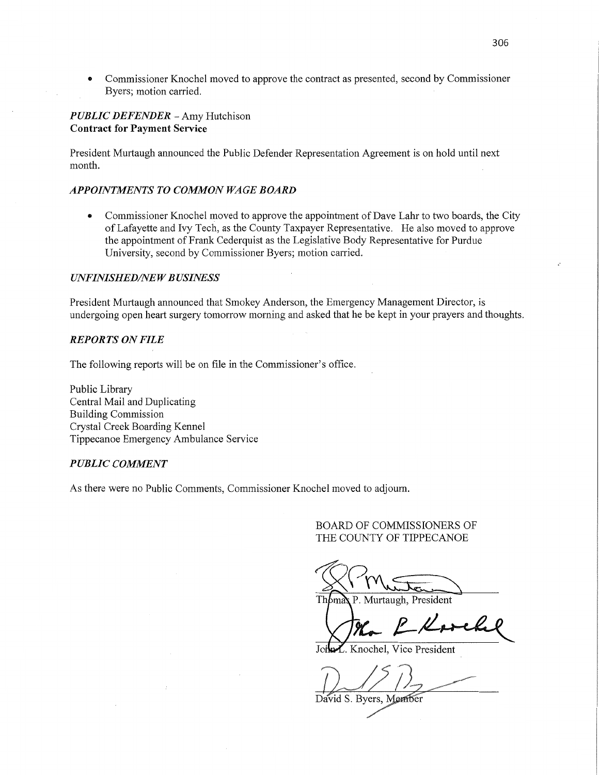**0** Commissioner Knochel moved to approve the contract as presented, second by Commissioner Byers; motion carried.

## *PUBLIC DEFENDER* — Amy Hutchison **Contract** for **Payment Service**

President Murtaugh announced the Public Defender Representation Agreement is on hold until next month.

## *APPOINTMENTS TO COMMON WAGE BOARD*

*-* Commissioner Knochel moved to approve the appointment of Dave Lahr to two boards, the City of Lafayette and Ivy Tech, as the County Taxpayer Representative. He also moved to approve the appointment of Frank Cederquist as the Legislative Body Representative for Purdue University, second by Commissioner Byers; motion carried.

### *UNFINISHED/NEW BUSINESS*

President Murtaugh announced that Smokey Anderson, the Emergency Management Director, is undergoing open heart surgery tomorrow morning and asked that he be kept in your prayers and thoughts.

# *REPORTS* ON *FILE*

The following reports will be on file in the Commissioner's office.

Public Library Central **Mail** and Duplicating Building Commission Crystal Creek Boarding Kennel Tippecanoe Emergency Ambulance Service

## *PUBLIC COMMENT*

As there were no Public Comments, Commissioner Knochel moved to adjourn.

BOARD OF COMMISSIONERS OF THE COUNTY OF TIPPECANOE

 $328$ <br>Thomas P. Murtaugh, President

John *Knochel*, Vice President

David S. Byers, Member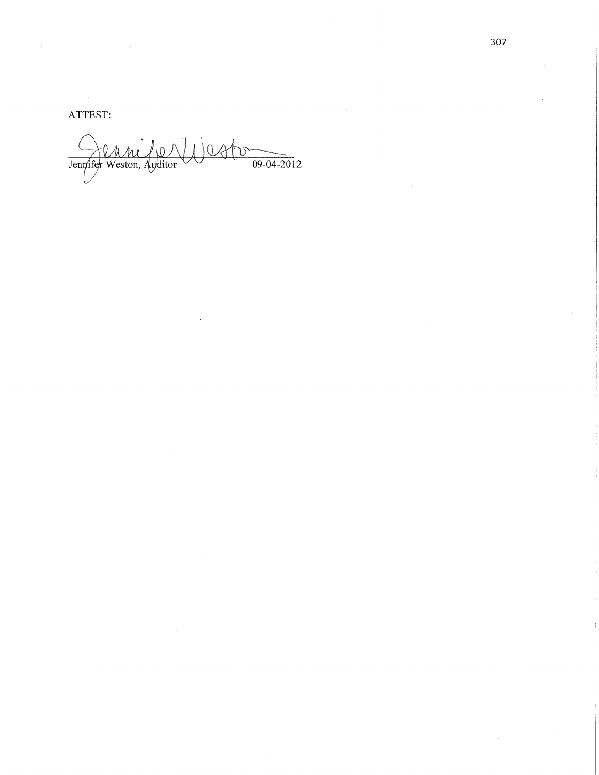ATTEST:

Jennifer Weston, Auditor  $)$ est  $\frac{1}{09-04-2012}$